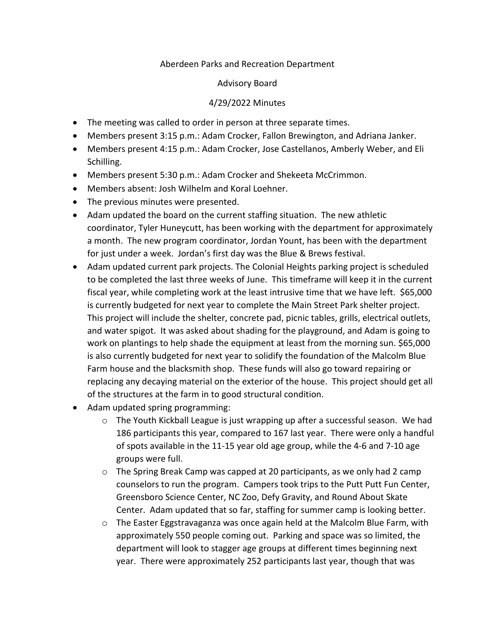## Aberdeen Parks and Recreation Department

## Advisory Board

## 4/29/2022 Minutes

- The meeting was called to order in person at three separate times.
- Members present 3:15 p.m.: Adam Crocker, Fallon Brewington, and Adriana Janker.
- Members present 4:15 p.m.: Adam Crocker, Jose Castellanos, Amberly Weber, and Eli Schilling.
- Members present 5:30 p.m.: Adam Crocker and Shekeeta McCrimmon.
- Members absent: Josh Wilhelm and Koral Loehner.
- The previous minutes were presented.
- Adam updated the board on the current staffing situation. The new athletic coordinator, Tyler Huneycutt, has been working with the department for approximately a month. The new program coordinator, Jordan Yount, has been with the department for just under a week. Jordan's first day was the Blue & Brews festival.
- Adam updated current park projects. The Colonial Heights parking project is scheduled to be completed the last three weeks of June. This timeframe will keep it in the current fiscal year, while completing work at the least intrusive time that we have left. \$65,000 is currently budgeted for next year to complete the Main Street Park shelter project. This project will include the shelter, concrete pad, picnic tables, grills, electrical outlets, and water spigot. It was asked about shading for the playground, and Adam is going to work on plantings to help shade the equipment at least from the morning sun. \$65,000 is also currently budgeted for next year to solidify the foundation of the Malcolm Blue Farm house and the blacksmith shop. These funds will also go toward repairing or replacing any decaying material on the exterior of the house. This project should get all of the structures at the farm in to good structural condition.
- Adam updated spring programming:
	- $\circ$  The Youth Kickball League is just wrapping up after a successful season. We had 186 participants this year, compared to 167 last year. There were only a handful of spots available in the 11-15 year old age group, while the 4-6 and 7-10 age groups were full.
	- $\circ$  The Spring Break Camp was capped at 20 participants, as we only had 2 camp counselors to run the program. Campers took trips to the Putt Putt Fun Center, Greensboro Science Center, NC Zoo, Defy Gravity, and Round About Skate Center. Adam updated that so far, staffing for summer camp is looking better.
	- o The Easter Eggstravaganza was once again held at the Malcolm Blue Farm, with approximately 550 people coming out. Parking and space was so limited, the department will look to stagger age groups at different times beginning next year. There were approximately 252 participants last year, though that was